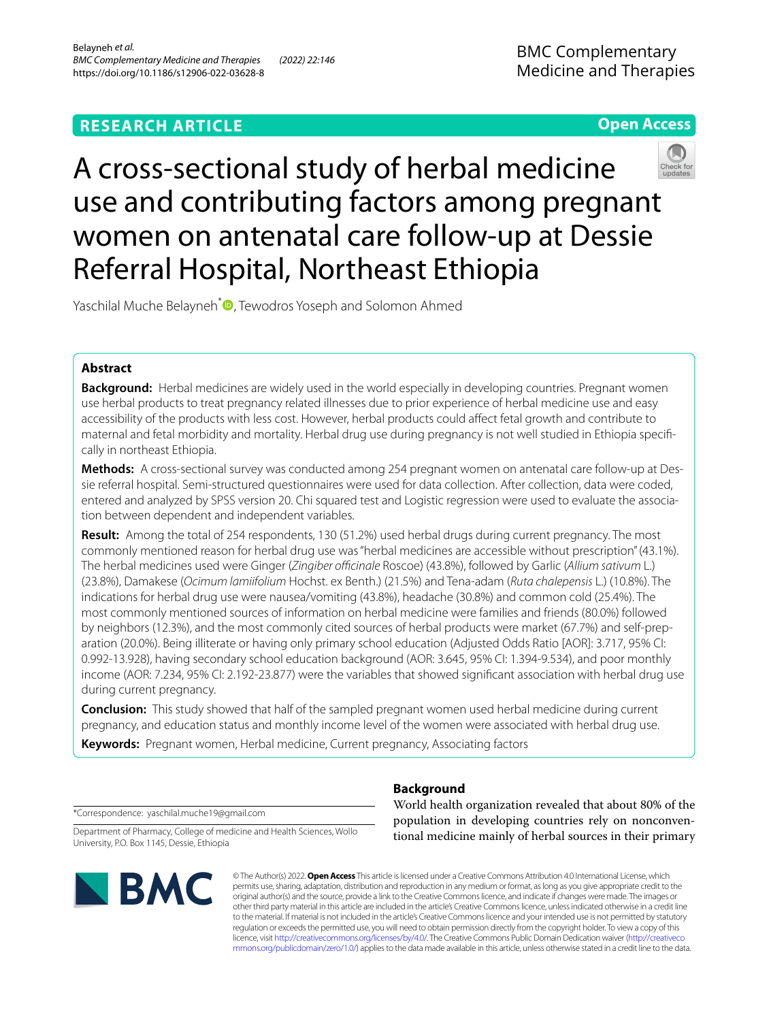# **RESEARCH ARTICLE**

# **Open Access**



A cross-sectional study of herbal medicine use and contributing factors among pregnant women on antenatal care follow-up at Dessie Referral Hospital, Northeast Ethiopia

Yaschilal Muche Belayneh<sup>[\\*](http://orcid.org/0000-0001-5564-7176)</sup> **D**, Tewodros Yoseph and Solomon Ahmed

# **Abstract**

**Background:** Herbal medicines are widely used in the world especially in developing countries. Pregnant women use herbal products to treat pregnancy related illnesses due to prior experience of herbal medicine use and easy accessibility of the products with less cost. However, herbal products could afect fetal growth and contribute to maternal and fetal morbidity and mortality. Herbal drug use during pregnancy is not well studied in Ethiopia specifcally in northeast Ethiopia.

**Methods:** A cross-sectional survey was conducted among 254 pregnant women on antenatal care follow-up at Dessie referral hospital. Semi-structured questionnaires were used for data collection. After collection, data were coded, entered and analyzed by SPSS version 20. Chi squared test and Logistic regression were used to evaluate the association between dependent and independent variables.

**Result:** Among the total of 254 respondents, 130 (51.2%) used herbal drugs during current pregnancy. The most commonly mentioned reason for herbal drug use was "herbal medicines are accessible without prescription" (43.1%). The herbal medicines used were Ginger (*Zingiber ofcinale* Roscoe) (43.8%), followed by Garlic (*Allium sativum* L.) (23.8%), Damakese (*Ocimum lamiifolium* Hochst. ex Benth.) (21.5%) and Tena-adam (*Ruta chalepensis* L.) (10.8%). The indications for herbal drug use were nausea/vomiting (43.8%), headache (30.8%) and common cold (25.4%). The most commonly mentioned sources of information on herbal medicine were families and friends (80.0%) followed by neighbors (12.3%), and the most commonly cited sources of herbal products were market (67.7%) and self-preparation (20.0%). Being illiterate or having only primary school education (Adjusted Odds Ratio [AOR]: 3.717, 95% CI: 0.992-13.928), having secondary school education background (AOR: 3.645, 95% CI: 1.394-9.534), and poor monthly income (AOR: 7.234, 95% CI: 2.192-23.877) were the variables that showed signifcant association with herbal drug use during current pregnancy.

**Conclusion:** This study showed that half of the sampled pregnant women used herbal medicine during current pregnancy, and education status and monthly income level of the women were associated with herbal drug use.

**Keywords:** Pregnant women, Herbal medicine, Current pregnancy, Associating factors

# **Background**

\*Correspondence: yaschilal.muche19@gmail.com

Department of Pharmacy, College of medicine and Health Sciences, Wollo University, P.O. Box 1145, Dessie, Ethiopia



World health organization revealed that about 80% of the population in developing countries rely on nonconventional medicine mainly of herbal sources in their primary

© The Author(s) 2022. **Open Access** This article is licensed under a Creative Commons Attribution 4.0 International License, which permits use, sharing, adaptation, distribution and reproduction in any medium or format, as long as you give appropriate credit to the original author(s) and the source, provide a link to the Creative Commons licence, and indicate if changes were made. The images or other third party material in this article are included in the article's Creative Commons licence, unless indicated otherwise in a credit line to the material. If material is not included in the article's Creative Commons licence and your intended use is not permitted by statutory regulation or exceeds the permitted use, you will need to obtain permission directly from the copyright holder. To view a copy of this licence, visit [http://creativecommons.org/licenses/by/4.0/.](http://creativecommons.org/licenses/by/4.0/) The Creative Commons Public Domain Dedication waiver ([http://creativeco](http://creativecommons.org/publicdomain/zero/1.0/) [mmons.org/publicdomain/zero/1.0/](http://creativecommons.org/publicdomain/zero/1.0/)) applies to the data made available in this article, unless otherwise stated in a credit line to the data.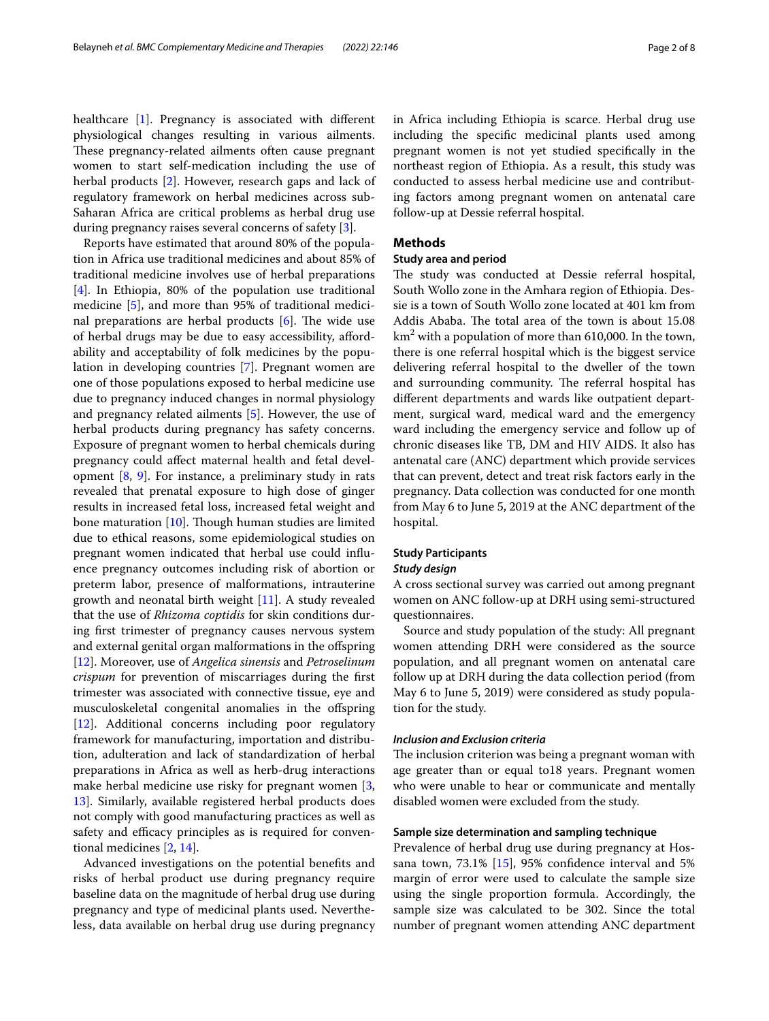healthcare [\[1\]](#page-7-0). Pregnancy is associated with diferent physiological changes resulting in various ailments. These pregnancy-related ailments often cause pregnant women to start self-medication including the use of herbal products [[2\]](#page-7-1). However, research gaps and lack of regulatory framework on herbal medicines across sub-Saharan Africa are critical problems as herbal drug use during pregnancy raises several concerns of safety [[3\]](#page-7-2).

Reports have estimated that around 80% of the population in Africa use traditional medicines and about 85% of traditional medicine involves use of herbal preparations [[4\]](#page-7-3). In Ethiopia, 80% of the population use traditional medicine [\[5](#page-7-4)], and more than 95% of traditional medicinal preparations are herbal products  $[6]$  $[6]$ . The wide use of herbal drugs may be due to easy accessibility, afordability and acceptability of folk medicines by the population in developing countries [\[7](#page-7-6)]. Pregnant women are one of those populations exposed to herbal medicine use due to pregnancy induced changes in normal physiology and pregnancy related ailments [[5\]](#page-7-4). However, the use of herbal products during pregnancy has safety concerns. Exposure of pregnant women to herbal chemicals during pregnancy could afect maternal health and fetal development [\[8](#page-7-7), [9](#page-7-8)]. For instance, a preliminary study in rats revealed that prenatal exposure to high dose of ginger results in increased fetal loss, increased fetal weight and bone maturation  $[10]$  $[10]$ . Though human studies are limited due to ethical reasons, some epidemiological studies on pregnant women indicated that herbal use could infuence pregnancy outcomes including risk of abortion or preterm labor, presence of malformations, intrauterine growth and neonatal birth weight [[11\]](#page-7-10). A study revealed that the use of *Rhizoma coptidis* for skin conditions during frst trimester of pregnancy causes nervous system and external genital organ malformations in the ofspring [[12\]](#page-7-11). Moreover, use of *Angelica sinensis* and *Petroselinum crispum* for prevention of miscarriages during the frst trimester was associated with connective tissue, eye and musculoskeletal congenital anomalies in the ofspring [[12\]](#page-7-11). Additional concerns including poor regulatory framework for manufacturing, importation and distribution, adulteration and lack of standardization of herbal preparations in Africa as well as herb-drug interactions make herbal medicine use risky for pregnant women [\[3](#page-7-2), [13\]](#page-7-12). Similarly, available registered herbal products does not comply with good manufacturing practices as well as safety and efficacy principles as is required for conventional medicines [[2,](#page-7-1) [14\]](#page-7-13).

Advanced investigations on the potential benefts and risks of herbal product use during pregnancy require baseline data on the magnitude of herbal drug use during pregnancy and type of medicinal plants used. Nevertheless, data available on herbal drug use during pregnancy in Africa including Ethiopia is scarce. Herbal drug use including the specifc medicinal plants used among pregnant women is not yet studied specifcally in the northeast region of Ethiopia. As a result, this study was conducted to assess herbal medicine use and contributing factors among pregnant women on antenatal care follow-up at Dessie referral hospital.

### **Methods**

# **Study area and period**

The study was conducted at Dessie referral hospital, South Wollo zone in the Amhara region of Ethiopia. Dessie is a town of South Wollo zone located at 401 km from Addis Ababa. The total area of the town is about 15.08  $\mathrm{km}^2$  with a population of more than 610,000. In the town, there is one referral hospital which is the biggest service delivering referral hospital to the dweller of the town and surrounding community. The referral hospital has diferent departments and wards like outpatient department, surgical ward, medical ward and the emergency ward including the emergency service and follow up of chronic diseases like TB, DM and HIV AIDS. It also has antenatal care (ANC) department which provide services that can prevent, detect and treat risk factors early in the pregnancy. Data collection was conducted for one month from May 6 to June 5, 2019 at the ANC department of the hospital.

## **Study Participants**

## *Study design*

A cross sectional survey was carried out among pregnant women on ANC follow-up at DRH using semi-structured questionnaires.

Source and study population of the study: All pregnant women attending DRH were considered as the source population, and all pregnant women on antenatal care follow up at DRH during the data collection period (from May 6 to June 5, 2019) were considered as study population for the study.

## *Inclusion and Exclusion criteria*

The inclusion criterion was being a pregnant woman with age greater than or equal to18 years. Pregnant women who were unable to hear or communicate and mentally disabled women were excluded from the study.

### **Sample size determination and sampling technique**

Prevalence of herbal drug use during pregnancy at Hossana town,  $73.1\%$  [[15](#page-7-14)], 95% confidence interval and 5% margin of error were used to calculate the sample size using the single proportion formula. Accordingly, the sample size was calculated to be 302. Since the total number of pregnant women attending ANC department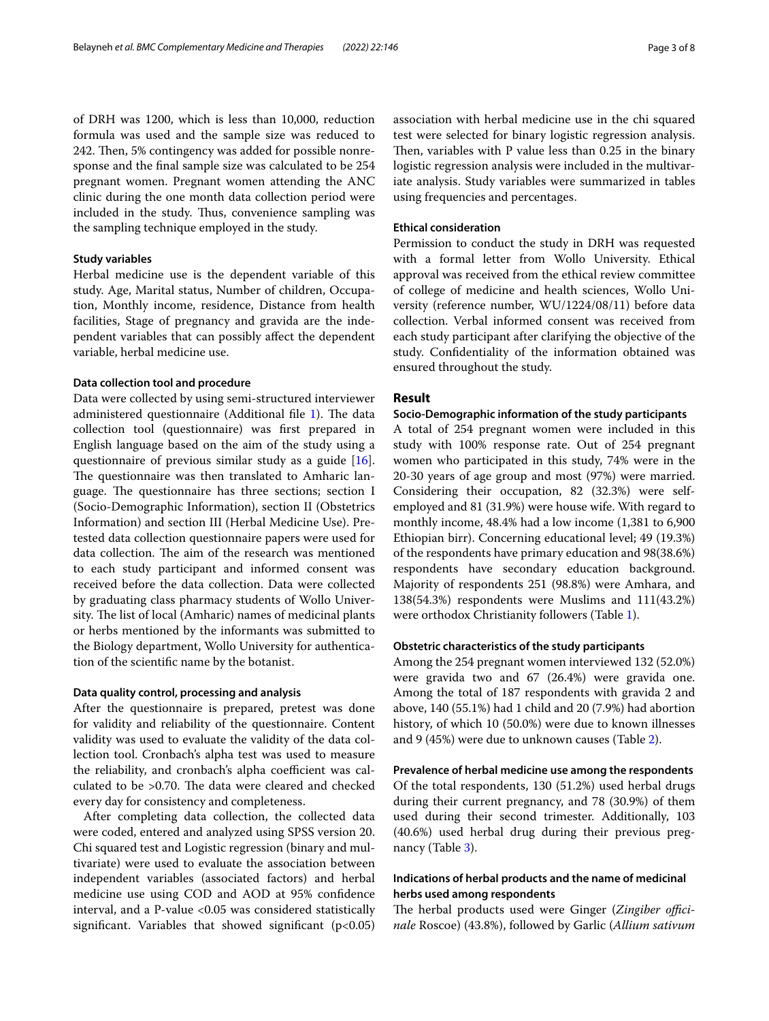of DRH was 1200, which is less than 10,000, reduction formula was used and the sample size was reduced to 242. Then, 5% contingency was added for possible nonresponse and the fnal sample size was calculated to be 254 pregnant women. Pregnant women attending the ANC clinic during the one month data collection period were included in the study. Thus, convenience sampling was the sampling technique employed in the study.

## **Study variables**

Herbal medicine use is the dependent variable of this study. Age, Marital status, Number of children, Occupation, Monthly income, residence, Distance from health facilities, Stage of pregnancy and gravida are the independent variables that can possibly afect the dependent variable, herbal medicine use.

#### **Data collection tool and procedure**

Data were collected by using semi-structured interviewer administered questionnaire (Additional file [1](#page-6-0)). The data collection tool (questionnaire) was frst prepared in English language based on the aim of the study using a questionnaire of previous similar study as a guide [\[16](#page-7-15)]. The questionnaire was then translated to Amharic language. The questionnaire has three sections; section I (Socio-Demographic Information), section II (Obstetrics Information) and section III (Herbal Medicine Use). Pretested data collection questionnaire papers were used for data collection. The aim of the research was mentioned to each study participant and informed consent was received before the data collection. Data were collected by graduating class pharmacy students of Wollo University. The list of local (Amharic) names of medicinal plants or herbs mentioned by the informants was submitted to the Biology department, Wollo University for authentication of the scientifc name by the botanist.

#### **Data quality control, processing and analysis**

After the questionnaire is prepared, pretest was done for validity and reliability of the questionnaire. Content validity was used to evaluate the validity of the data collection tool. Cronbach's alpha test was used to measure the reliability, and cronbach's alpha coefficient was calculated to be >0.70. The data were cleared and checked every day for consistency and completeness.

After completing data collection, the collected data were coded, entered and analyzed using SPSS version 20. Chi squared test and Logistic regression (binary and multivariate) were used to evaluate the association between independent variables (associated factors) and herbal medicine use using COD and AOD at 95% confdence interval, and a P-value <0.05 was considered statistically significant. Variables that showed significant  $(p<0.05)$  association with herbal medicine use in the chi squared test were selected for binary logistic regression analysis. Then, variables with  $P$  value less than 0.25 in the binary logistic regression analysis were included in the multivariate analysis. Study variables were summarized in tables using frequencies and percentages.

## **Ethical consideration**

Permission to conduct the study in DRH was requested with a formal letter from Wollo University. Ethical approval was received from the ethical review committee of college of medicine and health sciences, Wollo University (reference number, WU/1224/08/11) before data collection. Verbal informed consent was received from each study participant after clarifying the objective of the study. Confdentiality of the information obtained was ensured throughout the study.

## **Result**

## **Socio‑Demographic information of the study participants**

A total of 254 pregnant women were included in this study with 100% response rate. Out of 254 pregnant women who participated in this study, 74% were in the 20-30 years of age group and most (97%) were married. Considering their occupation, 82 (32.3%) were selfemployed and 81 (31.9%) were house wife. With regard to monthly income, 48.4% had a low income (1,381 to 6,900 Ethiopian birr). Concerning educational level; 49 (19.3%) of the respondents have primary education and 98(38.6%) respondents have secondary education background. Majority of respondents 251 (98.8%) were Amhara, and 138(54.3%) respondents were Muslims and 111(43.2%) were orthodox Christianity followers (Table [1](#page-3-0)).

## **Obstetric characteristics of the study participants**

Among the 254 pregnant women interviewed 132 (52.0%) were gravida two and 67 (26.4%) were gravida one. Among the total of 187 respondents with gravida 2 and above, 140 (55.1%) had 1 child and 20 (7.9%) had abortion history, of which 10 (50.0%) were due to known illnesses and 9 (45%) were due to unknown causes (Table [2](#page-3-1)).

**Prevalence of herbal medicine use among the respondents** Of the total respondents, 130 (51.2%) used herbal drugs during their current pregnancy, and 78 (30.9%) of them used during their second trimester. Additionally, 103 (40.6%) used herbal drug during their previous pregnancy (Table [3](#page-3-2)).

# **Indications of herbal products and the name of medicinal herbs used among respondents**

The herbal products used were Ginger (Zingiber offici*nale* Roscoe) (43.8%), followed by Garlic (*Allium sativum*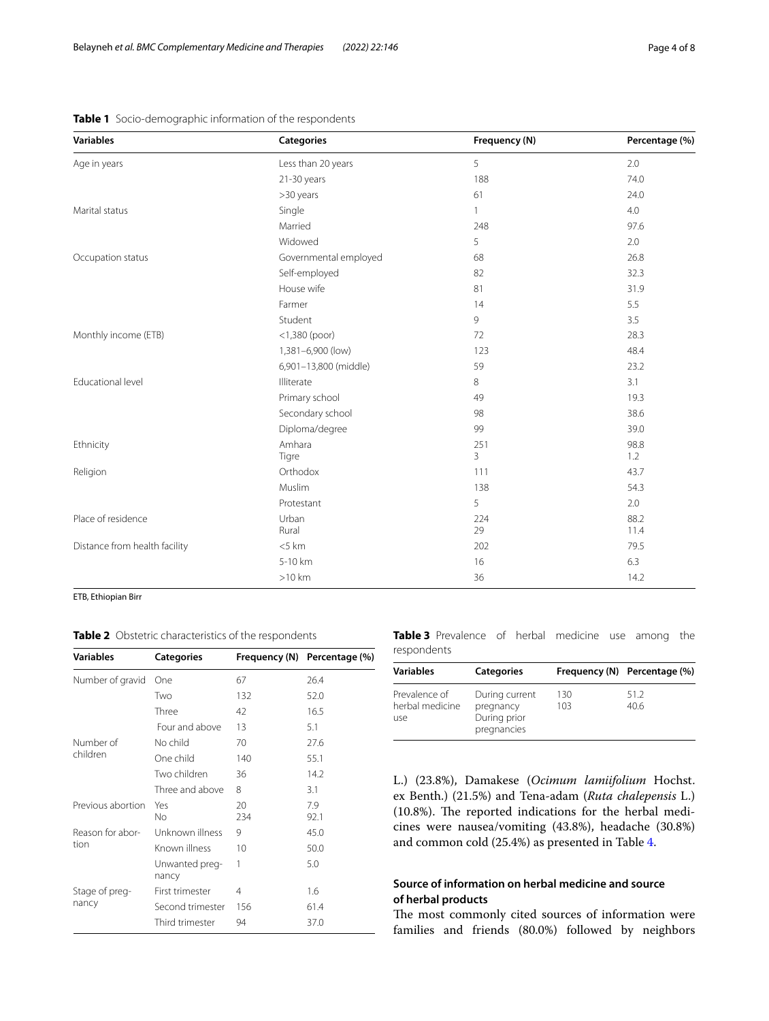| <b>Variables</b>              | <b>Categories</b>     | Frequency (N)       | Percentage (%) |  |
|-------------------------------|-----------------------|---------------------|----------------|--|
| Age in years                  | Less than 20 years    | 5                   | 2.0            |  |
|                               | 21-30 years           | 188                 | 74.0           |  |
|                               | >30 years             | 61                  | 24.0           |  |
| Marital status                | Single                | 1                   | 4.0            |  |
|                               | Married               | 248                 | 97.6           |  |
|                               | Widowed               | 5                   | 2.0            |  |
| Occupation status             | Governmental employed | 68                  | 26.8           |  |
|                               | Self-employed         | 82                  | 32.3           |  |
|                               | House wife            | 81                  | 31.9           |  |
|                               | Farmer                | 14                  | 5.5            |  |
|                               | Student               | 9                   | 3.5            |  |
| Monthly income (ETB)          | $<$ 1,380 (poor)      | 72                  | 28.3           |  |
|                               | 1,381-6,900 (low)     | 123                 | 48.4           |  |
|                               | 6,901-13,800 (middle) | 59                  | 23.2           |  |
| Educational level             | Illiterate            | 8                   | 3.1            |  |
|                               | Primary school        | 49                  | 19.3           |  |
|                               | Secondary school      | 98                  | 38.6           |  |
|                               | Diploma/degree        | 99                  | 39.0           |  |
| Ethnicity                     | Amhara<br>Tigre       | 251<br>$\mathbf{3}$ | 98.8<br>1.2    |  |
| Religion                      | Orthodox              | 111                 | 43.7           |  |
|                               | Muslim                | 138                 | 54.3           |  |
|                               | Protestant            | 5                   | 2.0            |  |
| Place of residence            | Urban<br>Rural        | 224<br>29           | 88.2<br>11.4   |  |
| Distance from health facility | $<$ 5 km              | 202                 | 79.5           |  |
|                               | 5-10 km               | 16                  | 6.3            |  |
|                               | $>10$ km              | 36                  | 14.2           |  |

<span id="page-3-0"></span>**Table 1** Socio-demographic information of the respondents

ETB, Ethiopian Birr

<span id="page-3-1"></span>

|  |  | Table 2 Obstetric characteristics of the respondents |  |  |
|--|--|------------------------------------------------------|--|--|
|--|--|------------------------------------------------------|--|--|

| <b>Variables</b>  | <b>Categories</b>       |           | Frequency (N)<br>Percentage (%) |  |
|-------------------|-------------------------|-----------|---------------------------------|--|
| Number of gravid  | One                     | 67        | 26.4                            |  |
|                   | Two                     | 132       | 52.0                            |  |
|                   | Three                   | 42        | 16.5                            |  |
|                   | Four and above          | 13        | 5.1                             |  |
| Number of         | No child                | 70        | 27.6                            |  |
| children          | One child               | 140       | 55.1                            |  |
|                   | Two children            | 36        | 14.2                            |  |
|                   | Three and above         | 8         | 3.1                             |  |
| Previous abortion | Yes<br>Νo               | 20<br>234 | 7.9<br>92.1                     |  |
| Reason for abor-  | Unknown illness         | 9         | 45.0                            |  |
| tion              | Known illness           | 10        | 50.0                            |  |
|                   | Unwanted preg-<br>nancy | 1         | 5.0                             |  |
| Stage of preg-    | First trimester         | 4         | 1.6                             |  |
| nancy             | Second trimester        | 156       | 61.4                            |  |
|                   | Third trimester         | 94        | 37.0                            |  |

<span id="page-3-2"></span>**Table 3** Prevalence of herbal medicine use among the respondents

| <b>Variables</b>                        | <b>Categories</b>                                          |            | Frequency (N) Percentage (%) |
|-----------------------------------------|------------------------------------------------------------|------------|------------------------------|
| Prevalence of<br>herbal medicine<br>use | During current<br>pregnancy<br>During prior<br>pregnancies | 130<br>103 | 51.2<br>40.6                 |

L.) (23.8%), Damakese (*Ocimum lamiifolium* Hochst. ex Benth.) (21.5%) and Tena-adam (*Ruta chalepensis* L.) (10.8%). The reported indications for the herbal medicines were nausea/vomiting (43.8%), headache (30.8%) and common cold (25.4%) as presented in Table [4](#page-4-0).

# **Source of information on herbal medicine and source of herbal products**

The most commonly cited sources of information were families and friends (80.0%) followed by neighbors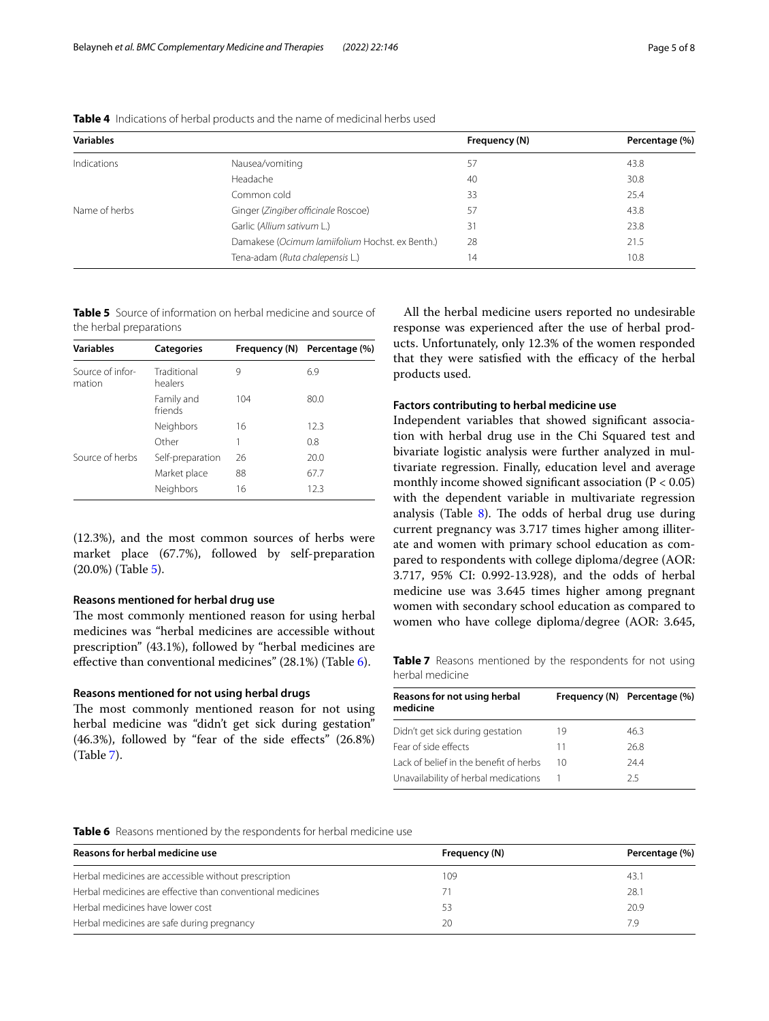| <b>Variables</b> |                                                 | Frequency (N) | Percentage (%) |
|------------------|-------------------------------------------------|---------------|----------------|
| Indications      | Nausea/vomiting                                 | 57            | 43.8           |
|                  | Headache                                        | 40            | 30.8           |
|                  | Common cold                                     | 33            | 25.4           |
| Name of herbs    | Ginger (Zingiber officinale Roscoe)             | 57            | 43.8           |
|                  | Garlic (Allium sativum L.)                      | 31            | 23.8           |
|                  | Damakese (Ocimum lamiifolium Hochst. ex Benth.) | 28            | 21.5           |
|                  | Tena-adam (Ruta chalepensis L.)                 | 14            | 10.8           |

<span id="page-4-0"></span>**Table 4** Indications of herbal products and the name of medicinal herbs used

<span id="page-4-1"></span>**Table 5** Source of information on herbal medicine and source of the herbal preparations

| <b>Variables</b>           | <b>Categories</b>      |     | Frequency (N) Percentage (%) |  |  |
|----------------------------|------------------------|-----|------------------------------|--|--|
| Source of infor-<br>mation | Traditional<br>healers | 9   | 6.9                          |  |  |
|                            | Family and<br>friends  | 104 | 80.0                         |  |  |
|                            | Neighbors              | 16  | 12.3                         |  |  |
|                            | Other                  |     | 0.8                          |  |  |
| Source of herbs            | Self-preparation       | 26  | 20.0                         |  |  |
|                            | Market place           | 88  | 67.7                         |  |  |
|                            | Neighbors              | 16  | 12.3                         |  |  |

(12.3%), and the most common sources of herbs were market place (67.7%), followed by self-preparation (20.0%) (Table [5](#page-4-1)).

### **Reasons mentioned for herbal drug use**

The most commonly mentioned reason for using herbal medicines was "herbal medicines are accessible without prescription" (43.1%), followed by "herbal medicines are efective than conventional medicines" (28.1%) (Table [6\)](#page-4-2).

#### **Reasons mentioned for not using herbal drugs**

The most commonly mentioned reason for not using herbal medicine was "didn't get sick during gestation" (46.3%), followed by "fear of the side efects" (26.8%) (Table [7](#page-4-3)).

All the herbal medicine users reported no undesirable response was experienced after the use of herbal products. Unfortunately, only 12.3% of the women responded that they were satisfied with the efficacy of the herbal products used.

# **Factors contributing to herbal medicine use**

Independent variables that showed signifcant association with herbal drug use in the Chi Squared test and bivariate logistic analysis were further analyzed in multivariate regression. Finally, education level and average monthly income showed significant association ( $P < 0.05$ ) with the dependent variable in multivariate regression analysis (Table  $8$ ). The odds of herbal drug use during current pregnancy was 3.717 times higher among illiterate and women with primary school education as compared to respondents with college diploma/degree (AOR: 3.717, 95% CI: 0.992-13.928), and the odds of herbal medicine use was 3.645 times higher among pregnant women with secondary school education as compared to women who have college diploma/degree (AOR: 3.645,

<span id="page-4-3"></span>**Table 7** Reasons mentioned by the respondents for not using herbal medicine

| Reasons for not using herbal<br>medicine |    | Frequency (N) Percentage (%) |  |  |
|------------------------------------------|----|------------------------------|--|--|
| Didn't get sick during gestation         | 19 | 46.3                         |  |  |
| Fear of side effects                     | 11 | 26.8                         |  |  |
| Lack of belief in the benefit of herbs   | 10 | 244                          |  |  |
| Unavailability of herbal medications     |    | つち                           |  |  |

#### <span id="page-4-2"></span>**Table 6** Reasons mentioned by the respondents for herbal medicine use

| Reasons for herbal medicine use                            | Frequency (N) | Percentage (%) |  |
|------------------------------------------------------------|---------------|----------------|--|
| Herbal medicines are accessible without prescription       | 109           | 43.1           |  |
| Herbal medicines are effective than conventional medicines |               | 28.1           |  |
| Herbal medicines have lower cost                           | 53            | 20.9           |  |
| Herbal medicines are safe during pregnancy                 | 20            | 79             |  |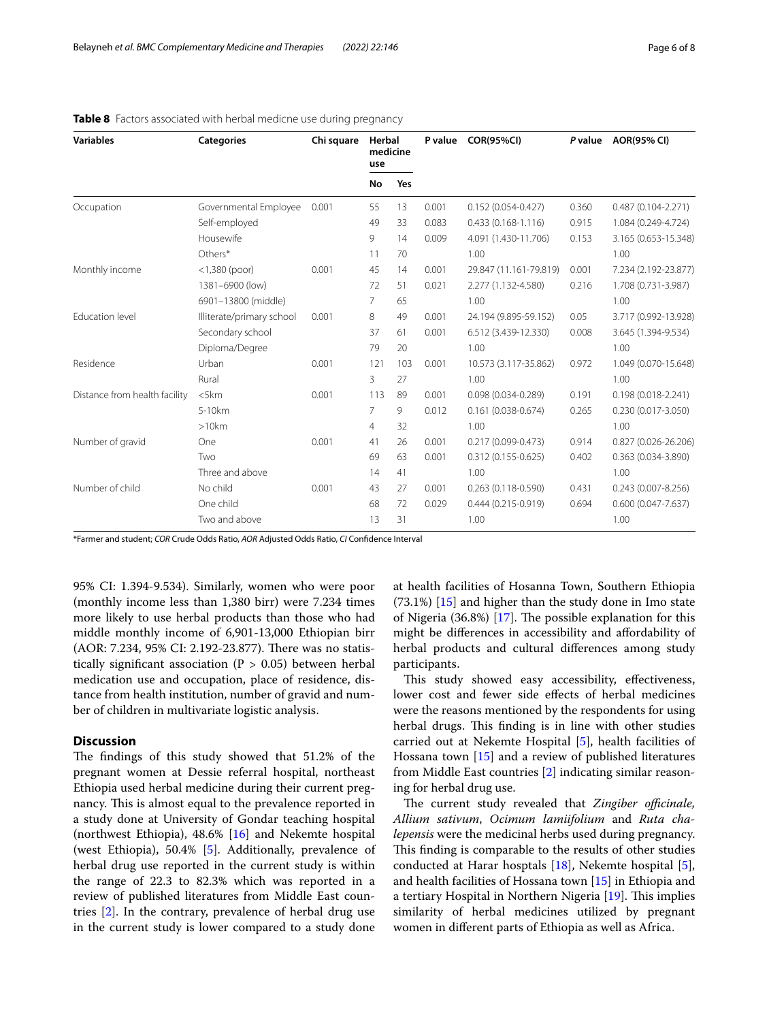| <b>Variables</b>              | <b>Categories</b>         | Chi square | Herbal<br>medicine<br>use |     | P value | <b>COR(95%CI)</b>      | P value | <b>AOR(95% CI)</b>     |
|-------------------------------|---------------------------|------------|---------------------------|-----|---------|------------------------|---------|------------------------|
|                               |                           |            | No                        | Yes |         |                        |         |                        |
| Occupation                    | Governmental Employee     | 0.001      | 55                        | 13  | 0.001   | $0.152(0.054 - 0.427)$ | 0.360   | $0.487(0.104 - 2.271)$ |
|                               | Self-employed             |            | 49                        | 33  | 0.083   | $0.433(0.168 - 1.116)$ | 0.915   | 1.084 (0.249-4.724)    |
|                               | Housewife                 |            | 9                         | 14  | 0.009   | 4.091 (1.430-11.706)   | 0.153   | 3.165 (0.653-15.348)   |
|                               | Others*                   |            | 11                        | 70  |         | 1.00                   |         | 1.00                   |
| Monthly income                | $<$ 1,380 (poor)          | 0.001      | 45                        | 14  | 0.001   | 29.847 (11.161-79.819) | 0.001   | 7.234 (2.192-23.877)   |
|                               | 1381-6900 (low)           |            | 72                        | 51  | 0.021   | 2.277 (1.132-4.580)    | 0.216   | 1.708 (0.731-3.987)    |
|                               | 6901-13800 (middle)       |            | 7.                        | 65  |         | 1.00                   |         | 1.00                   |
| Education level               | Illiterate/primary school | 0.001      | 8                         | 49  | 0.001   | 24.194 (9.895-59.152)  | 0.05    | 3.717 (0.992-13.928)   |
|                               | Secondary school          |            | 37                        | 61  | 0.001   | 6.512 (3.439-12.330)   | 0.008   | 3.645 (1.394-9.534)    |
|                               | Diploma/Degree            |            | 79                        | 20  |         | 1.00                   |         | 1.00                   |
| Residence                     | Urban                     | 0.001      | 121                       | 103 | 0.001   | 10.573 (3.117-35.862)  | 0.972   | 1.049 (0.070-15.648)   |
|                               | Rural                     |            | 3                         | 27  |         | 1.00                   |         | 1.00                   |
| Distance from health facility | $<$ 5 $km$                | 0.001      | 113                       | 89  | 0.001   | $0.098(0.034 - 0.289)$ | 0.191   | $0.198(0.018 - 2.241)$ |
|                               | 5-10km                    |            | $\overline{7}$            | 9   | 0.012   | $0.161(0.038 - 0.674)$ | 0.265   | $0.230(0.017 - 3.050)$ |
|                               | >10km                     |            | $\overline{4}$            | 32  |         | 1.00                   |         | 1.00                   |
| Number of gravid              | One                       | 0.001      | 41                        | 26  | 0.001   | $0.217(0.099 - 0.473)$ | 0.914   | 0.827 (0.026-26.206)   |
|                               | Two                       |            | 69                        | 63  | 0.001   | $0.312(0.155 - 0.625)$ | 0.402   | 0.363 (0.034-3.890)    |
|                               | Three and above           |            | 14                        | 41  |         | 1.00                   |         | 1.00                   |
| Number of child               | No child                  | 0.001      | 43                        | 27  | 0.001   | $0.263(0.118-0.590)$   | 0.431   | $0.243(0.007 - 8.256)$ |
|                               | One child                 |            | 68                        | 72  | 0.029   | $0.444(0.215 - 0.919)$ | 0.694   | $0.600(0.047 - 7.637)$ |
|                               | Two and above             |            | 13                        | 31  |         | 1.00                   |         | 1.00                   |

### <span id="page-5-0"></span>**Table 8** Factors associated with herbal medicne use during pregnancy

\*Farmer and student; *COR* Crude Odds Ratio, *AOR* Adjusted Odds Ratio, *CI* Confdence Interval

95% CI: 1.394-9.534). Similarly, women who were poor (monthly income less than 1,380 birr) were 7.234 times more likely to use herbal products than those who had middle monthly income of 6,901-13,000 Ethiopian birr (AOR: 7.234, 95% CI: 2.192-23.877). There was no statistically significant association ( $P > 0.05$ ) between herbal medication use and occupation, place of residence, distance from health institution, number of gravid and number of children in multivariate logistic analysis.

## **Discussion**

The findings of this study showed that 51.2% of the pregnant women at Dessie referral hospital, northeast Ethiopia used herbal medicine during their current pregnancy. This is almost equal to the prevalence reported in a study done at University of Gondar teaching hospital (northwest Ethiopia), 48.6% [\[16](#page-7-15)] and Nekemte hospital (west Ethiopia), 50.4% [\[5](#page-7-4)]. Additionally, prevalence of herbal drug use reported in the current study is within the range of 22.3 to 82.3% which was reported in a review of published literatures from Middle East countries [[2\]](#page-7-1). In the contrary, prevalence of herbal drug use in the current study is lower compared to a study done at health facilities of Hosanna Town, Southern Ethiopia (73.1%) [[15\]](#page-7-14) and higher than the study done in Imo state of Nigeria  $(36.8\%)$  [\[17](#page-7-16)]. The possible explanation for this might be diferences in accessibility and afordability of herbal products and cultural diferences among study participants.

This study showed easy accessibility, effectiveness, lower cost and fewer side effects of herbal medicines were the reasons mentioned by the respondents for using herbal drugs. This finding is in line with other studies carried out at Nekemte Hospital [\[5](#page-7-4)], health facilities of Hossana town [[15\]](#page-7-14) and a review of published literatures from Middle East countries [\[2\]](#page-7-1) indicating similar reasoning for herbal drug use.

The current study revealed that *Zingiber officinale*, *Allium sativum*, *Ocimum lamiifolium* and *Ruta chalepensis* were the medicinal herbs used during pregnancy. This finding is comparable to the results of other studies conducted at Harar hosptals [[18\]](#page-7-17), Nekemte hospital [\[5](#page-7-4)], and health facilities of Hossana town [[15\]](#page-7-14) in Ethiopia and a tertiary Hospital in Northern Nigeria [[19\]](#page-7-18). This implies similarity of herbal medicines utilized by pregnant women in diferent parts of Ethiopia as well as Africa.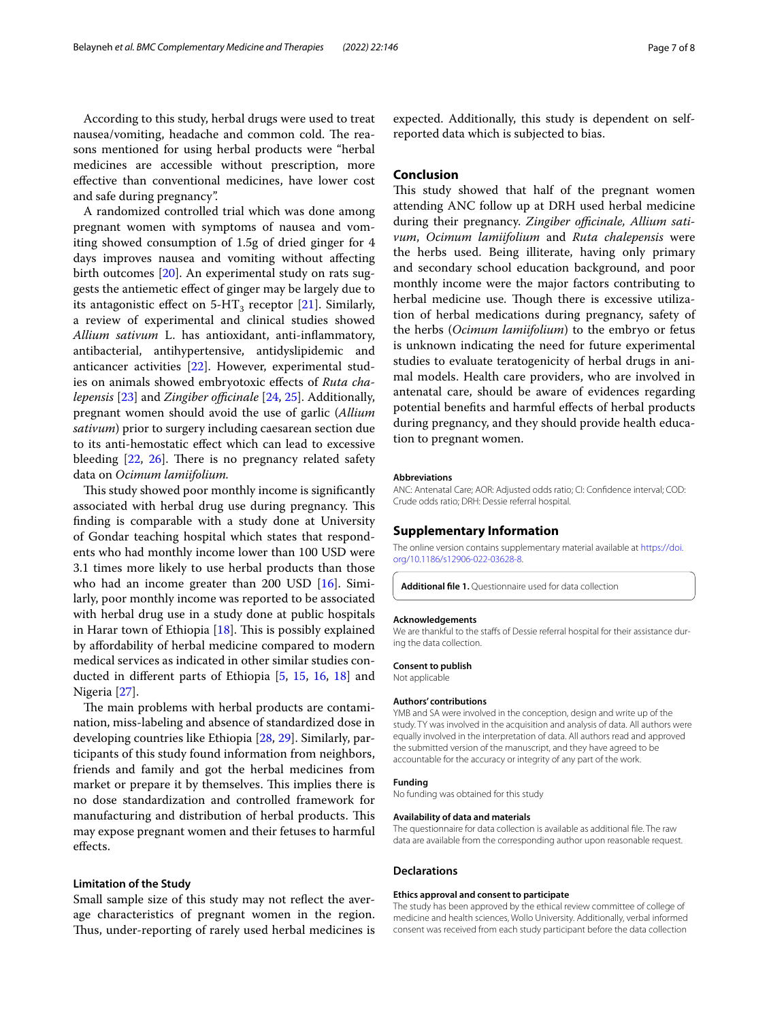According to this study, herbal drugs were used to treat nausea/vomiting, headache and common cold. The reasons mentioned for using herbal products were "herbal medicines are accessible without prescription, more efective than conventional medicines, have lower cost and safe during pregnancy".

A randomized controlled trial which was done among pregnant women with symptoms of nausea and vomiting showed consumption of 1.5g of dried ginger for 4 days improves nausea and vomiting without afecting birth outcomes [[20\]](#page-7-19). An experimental study on rats suggests the antiemetic efect of ginger may be largely due to its antagonistic effect on  $5-HT_3$  receptor [[21\]](#page-7-20). Similarly, a review of experimental and clinical studies showed *Allium sativum* L. has antioxidant, anti-infammatory, antibacterial, antihypertensive, antidyslipidemic and anticancer activities [\[22\]](#page-7-21). However, experimental studies on animals showed embryotoxic efects of *Ruta chalepensis* [[23\]](#page-7-22) and *Zingiber officinale* [\[24,](#page-7-23) [25](#page-7-24)]. Additionally, pregnant women should avoid the use of garlic (*Allium sativum*) prior to surgery including caesarean section due to its anti-hemostatic efect which can lead to excessive bleeding  $[22, 26]$  $[22, 26]$  $[22, 26]$  $[22, 26]$ . There is no pregnancy related safety data on *Ocimum lamiifolium.*

This study showed poor monthly income is significantly associated with herbal drug use during pregnancy. This fnding is comparable with a study done at University of Gondar teaching hospital which states that respondents who had monthly income lower than 100 USD were 3.1 times more likely to use herbal products than those who had an income greater than 200 USD [[16\]](#page-7-15). Similarly, poor monthly income was reported to be associated with herbal drug use in a study done at public hospitals in Harar town of Ethiopia  $[18]$  $[18]$ . This is possibly explained by afordability of herbal medicine compared to modern medical services as indicated in other similar studies conducted in diferent parts of Ethiopia [\[5](#page-7-4), [15,](#page-7-14) [16,](#page-7-15) [18](#page-7-17)] and Nigeria [\[27](#page-7-26)].

The main problems with herbal products are contamination, miss-labeling and absence of standardized dose in developing countries like Ethiopia [\[28,](#page-7-27) [29](#page-7-28)]. Similarly, participants of this study found information from neighbors, friends and family and got the herbal medicines from market or prepare it by themselves. This implies there is no dose standardization and controlled framework for manufacturing and distribution of herbal products. This may expose pregnant women and their fetuses to harmful efects.

### **Limitation of the Study**

Small sample size of this study may not reflect the average characteristics of pregnant women in the region. Thus, under-reporting of rarely used herbal medicines is

expected. Additionally, this study is dependent on selfreported data which is subjected to bias.

## **Conclusion**

This study showed that half of the pregnant women attending ANC follow up at DRH used herbal medicine during their pregnancy. Zingiber officinale, Allium sati*vum*, *Ocimum lamiifolium* and *Ruta chalepensis* were the herbs used. Being illiterate, having only primary and secondary school education background, and poor monthly income were the major factors contributing to herbal medicine use. Though there is excessive utilization of herbal medications during pregnancy, safety of the herbs (*Ocimum lamiifolium*) to the embryo or fetus is unknown indicating the need for future experimental studies to evaluate teratogenicity of herbal drugs in animal models. Health care providers, who are involved in antenatal care, should be aware of evidences regarding potential benefts and harmful efects of herbal products during pregnancy, and they should provide health education to pregnant women.

#### **Abbreviations**

ANC: Antenatal Care; AOR: Adjusted odds ratio; CI: Confdence interval; COD: Crude odds ratio; DRH: Dessie referral hospital.

#### **Supplementary Information**

The online version contains supplementary material available at [https://doi.](https://doi.org/10.1186/s12906-022-03628-8) [org/10.1186/s12906-022-03628-8](https://doi.org/10.1186/s12906-022-03628-8).

<span id="page-6-0"></span>**Additional fle 1.** Questionnaire used for data collection

#### **Acknowledgements**

We are thankful to the staffs of Dessie referral hospital for their assistance during the data collection.

#### **Consent to publish**

Not applicable

#### **Authors' contributions**

YMB and SA were involved in the conception, design and write up of the study. TY was involved in the acquisition and analysis of data. All authors were equally involved in the interpretation of data. All authors read and approved the submitted version of the manuscript, and they have agreed to be accountable for the accuracy or integrity of any part of the work.

### **Funding**

No funding was obtained for this study

#### **Availability of data and materials**

The questionnaire for data collection is available as additional fle. The raw data are available from the corresponding author upon reasonable request.

#### **Declarations**

#### **Ethics approval and consent to participate**

The study has been approved by the ethical review committee of college of medicine and health sciences, Wollo University. Additionally, verbal informed consent was received from each study participant before the data collection